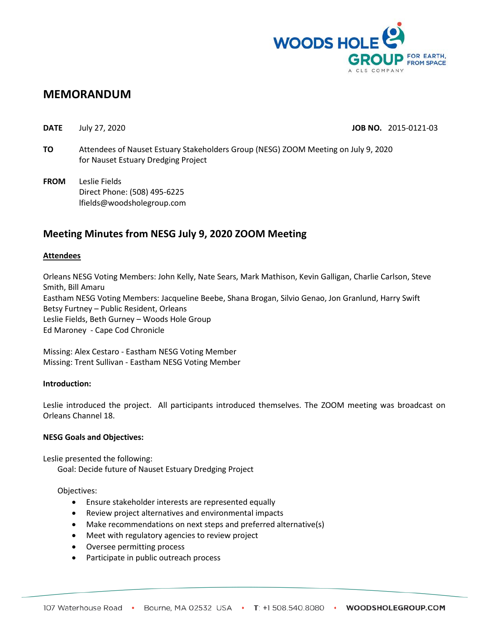

# **MEMORANDUM**

**DATE** July 27, 2020 **JOB NO.** 2015-0121-03

- **TO** Attendees of Nauset Estuary Stakeholders Group (NESG) ZOOM Meeting on July 9, 2020 for Nauset Estuary Dredging Project
- **FROM** Leslie Fields Direct Phone: (508) 495-6225 lfields@woodsholegroup.com

# **Meeting Minutes from NESG July 9, 2020 ZOOM Meeting**

# **Attendees**

Orleans NESG Voting Members: John Kelly, Nate Sears, Mark Mathison, Kevin Galligan, Charlie Carlson, Steve Smith, Bill Amaru Eastham NESG Voting Members: Jacqueline Beebe, Shana Brogan, Silvio Genao, Jon Granlund, Harry Swift Betsy Furtney – Public Resident, Orleans Leslie Fields, Beth Gurney – Woods Hole Group Ed Maroney - Cape Cod Chronicle

Missing: Alex Cestaro - Eastham NESG Voting Member Missing: Trent Sullivan - Eastham NESG Voting Member

#### **Introduction:**

Leslie introduced the project. All participants introduced themselves. The ZOOM meeting was broadcast on Orleans Channel 18.

#### **NESG Goals and Objectives:**

Leslie presented the following:

Goal: Decide future of Nauset Estuary Dredging Project

Objectives:

- Ensure stakeholder interests are represented equally
- Review project alternatives and environmental impacts
- Make recommendations on next steps and preferred alternative(s)
- Meet with regulatory agencies to review project
- Oversee permitting process
- Participate in public outreach process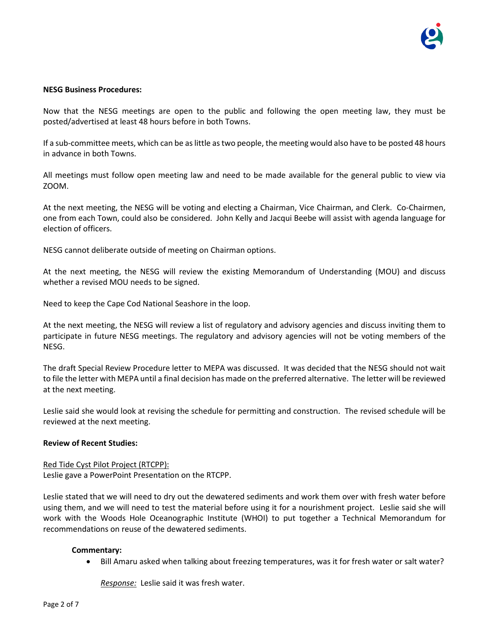#### **NESG Business Procedures:**

Now that the NESG meetings are open to the public and following the open meeting law, they must be posted/advertised at least 48 hours before in both Towns.

If a sub-committee meets, which can be as little as two people, the meeting would also have to be posted 48 hours in advance in both Towns.

All meetings must follow open meeting law and need to be made available for the general public to view via ZOOM.

At the next meeting, the NESG will be voting and electing a Chairman, Vice Chairman, and Clerk. Co-Chairmen, one from each Town, could also be considered. John Kelly and Jacqui Beebe will assist with agenda language for election of officers.

NESG cannot deliberate outside of meeting on Chairman options.

At the next meeting, the NESG will review the existing Memorandum of Understanding (MOU) and discuss whether a revised MOU needs to be signed.

Need to keep the Cape Cod National Seashore in the loop.

At the next meeting, the NESG will review a list of regulatory and advisory agencies and discuss inviting them to participate in future NESG meetings. The regulatory and advisory agencies will not be voting members of the NESG.

The draft Special Review Procedure letter to MEPA was discussed. It was decided that the NESG should not wait to file the letter with MEPA until a final decision has made on the preferred alternative. The letter will be reviewed at the next meeting.

Leslie said she would look at revising the schedule for permitting and construction. The revised schedule will be reviewed at the next meeting.

## **Review of Recent Studies:**

Red Tide Cyst Pilot Project (RTCPP): Leslie gave a PowerPoint Presentation on the RTCPP.

Leslie stated that we will need to dry out the dewatered sediments and work them over with fresh water before using them, and we will need to test the material before using it for a nourishment project. Leslie said she will work with the Woods Hole Oceanographic Institute (WHOI) to put together a Technical Memorandum for recommendations on reuse of the dewatered sediments.

#### **Commentary:**

• Bill Amaru asked when talking about freezing temperatures, was it for fresh water or salt water?

*Response:* Leslie said it was fresh water.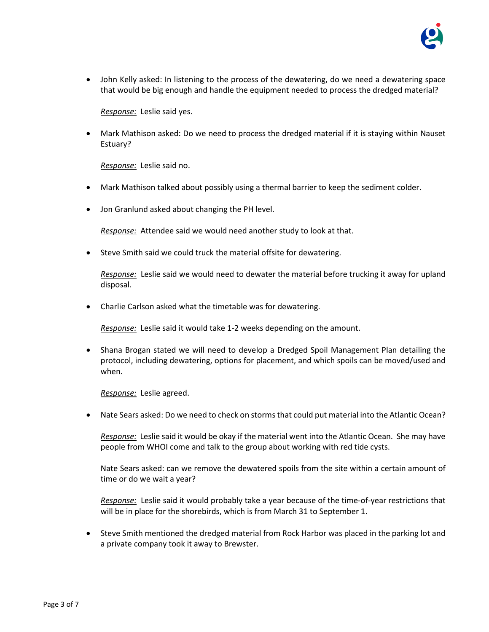

• John Kelly asked: In listening to the process of the dewatering, do we need a dewatering space that would be big enough and handle the equipment needed to process the dredged material?

*Response:* Leslie said yes.

• Mark Mathison asked: Do we need to process the dredged material if it is staying within Nauset Estuary?

*Response:* Leslie said no.

- Mark Mathison talked about possibly using a thermal barrier to keep the sediment colder.
- Jon Granlund asked about changing the PH level.

*Response:* Attendee said we would need another study to look at that.

• Steve Smith said we could truck the material offsite for dewatering.

*Response:* Leslie said we would need to dewater the material before trucking it away for upland disposal.

• Charlie Carlson asked what the timetable was for dewatering.

*Response:* Leslie said it would take 1-2 weeks depending on the amount.

• Shana Brogan stated we will need to develop a Dredged Spoil Management Plan detailing the protocol, including dewatering, options for placement, and which spoils can be moved/used and when.

*Response:* Leslie agreed.

• Nate Sears asked: Do we need to check on storms that could put material into the Atlantic Ocean?

*Response:* Leslie said it would be okay if the material went into the Atlantic Ocean. She may have people from WHOI come and talk to the group about working with red tide cysts.

Nate Sears asked: can we remove the dewatered spoils from the site within a certain amount of time or do we wait a year?

*Response:* Leslie said it would probably take a year because of the time-of-year restrictions that will be in place for the shorebirds, which is from March 31 to September 1.

• Steve Smith mentioned the dredged material from Rock Harbor was placed in the parking lot and a private company took it away to Brewster.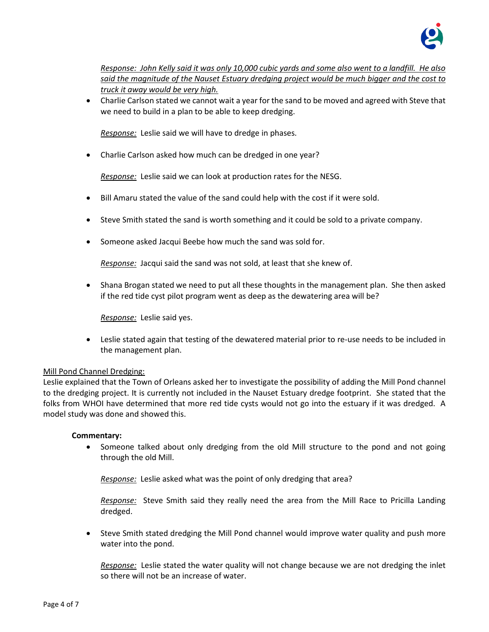

*Response: John Kelly said it was only 10,000 cubic yards and some also went to a landfill. He also said the magnitude of the Nauset Estuary dredging project would be much bigger and the cost to truck it away would be very high.* 

• Charlie Carlson stated we cannot wait a year for the sand to be moved and agreed with Steve that we need to build in a plan to be able to keep dredging.

*Response:* Leslie said we will have to dredge in phases.

• Charlie Carlson asked how much can be dredged in one year?

*Response:* Leslie said we can look at production rates for the NESG.

- Bill Amaru stated the value of the sand could help with the cost if it were sold.
- Steve Smith stated the sand is worth something and it could be sold to a private company.
- Someone asked Jacqui Beebe how much the sand was sold for.

*Response:* Jacqui said the sand was not sold, at least that she knew of.

• Shana Brogan stated we need to put all these thoughts in the management plan. She then asked if the red tide cyst pilot program went as deep as the dewatering area will be?

*Response:* Leslie said yes.

• Leslie stated again that testing of the dewatered material prior to re-use needs to be included in the management plan.

#### Mill Pond Channel Dredging:

Leslie explained that the Town of Orleans asked her to investigate the possibility of adding the Mill Pond channel to the dredging project. It is currently not included in the Nauset Estuary dredge footprint. She stated that the folks from WHOI have determined that more red tide cysts would not go into the estuary if it was dredged. A model study was done and showed this.

#### **Commentary:**

• Someone talked about only dredging from the old Mill structure to the pond and not going through the old Mill.

*Response:* Leslie asked what was the point of only dredging that area?

*Response:* Steve Smith said they really need the area from the Mill Race to Pricilla Landing dredged.

• Steve Smith stated dredging the Mill Pond channel would improve water quality and push more water into the pond.

*Response:* Leslie stated the water quality will not change because we are not dredging the inlet so there will not be an increase of water.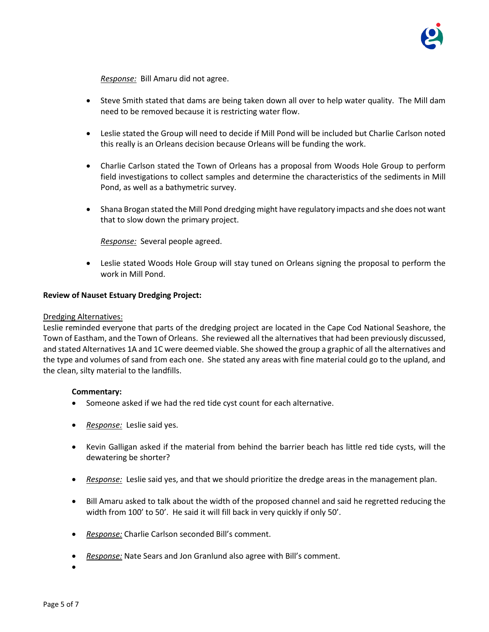

*Response:* Bill Amaru did not agree.

- Steve Smith stated that dams are being taken down all over to help water quality. The Mill dam need to be removed because it is restricting water flow.
- Leslie stated the Group will need to decide if Mill Pond will be included but Charlie Carlson noted this really is an Orleans decision because Orleans will be funding the work.
- Charlie Carlson stated the Town of Orleans has a proposal from Woods Hole Group to perform field investigations to collect samples and determine the characteristics of the sediments in Mill Pond, as well as a bathymetric survey.
- Shana Brogan stated the Mill Pond dredging might have regulatory impacts and she does not want that to slow down the primary project.

*Response:* Several people agreed.

• Leslie stated Woods Hole Group will stay tuned on Orleans signing the proposal to perform the work in Mill Pond.

### **Review of Nauset Estuary Dredging Project:**

#### Dredging Alternatives:

Leslie reminded everyone that parts of the dredging project are located in the Cape Cod National Seashore, the Town of Eastham, and the Town of Orleans. She reviewed all the alternatives that had been previously discussed, and stated Alternatives 1A and 1C were deemed viable. She showed the group a graphic of all the alternatives and the type and volumes of sand from each one. She stated any areas with fine material could go to the upland, and the clean, silty material to the landfills.

#### **Commentary:**

- Someone asked if we had the red tide cyst count for each alternative.
- *Response:* Leslie said yes.
- Kevin Galligan asked if the material from behind the barrier beach has little red tide cysts, will the dewatering be shorter?
- *Response:* Leslie said yes, and that we should prioritize the dredge areas in the management plan.
- Bill Amaru asked to talk about the width of the proposed channel and said he regretted reducing the width from 100' to 50'. He said it will fill back in very quickly if only 50'.
- *Response:* Charlie Carlson seconded Bill's comment.
- *Response:* Nate Sears and Jon Granlund also agree with Bill's comment.

•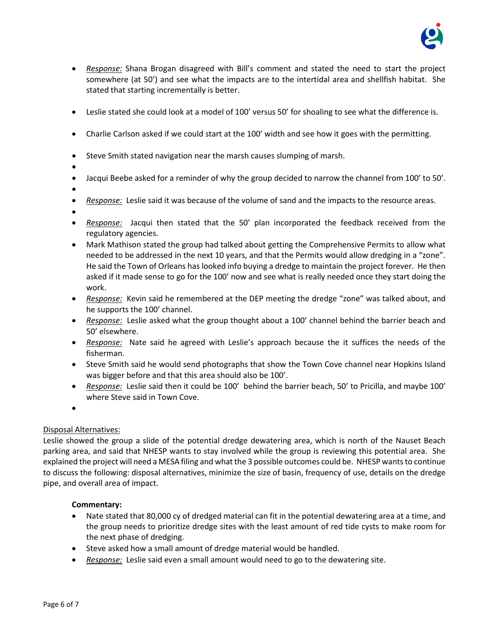

- *Response:* Shana Brogan disagreed with Bill's comment and stated the need to start the project somewhere (at 50') and see what the impacts are to the intertidal area and shellfish habitat. She stated that starting incrementally is better.
- Leslie stated she could look at a model of 100' versus 50' for shoaling to see what the difference is.
- Charlie Carlson asked if we could start at the 100' width and see how it goes with the permitting.
- Steve Smith stated navigation near the marsh causes slumping of marsh.
- •
- Jacqui Beebe asked for a reminder of why the group decided to narrow the channel from 100' to 50'.
- •
- *Response:* Leslie said it was because of the volume of sand and the impacts to the resource areas.
- •
- *Response:* Jacqui then stated that the 50' plan incorporated the feedback received from the regulatory agencies.
- Mark Mathison stated the group had talked about getting the Comprehensive Permits to allow what needed to be addressed in the next 10 years, and that the Permits would allow dredging in a "zone". He said the Town of Orleans has looked info buying a dredge to maintain the project forever. He then asked if it made sense to go for the 100' now and see what is really needed once they start doing the work.
- *Response:* Kevin said he remembered at the DEP meeting the dredge "zone" was talked about, and he supports the 100' channel.
- *Response:* Leslie asked what the group thought about a 100' channel behind the barrier beach and 50' elsewhere.
- *Response:* Nate said he agreed with Leslie's approach because the it suffices the needs of the fisherman.
- Steve Smith said he would send photographs that show the Town Cove channel near Hopkins Island was bigger before and that this area should also be 100'.
- *Response:* Leslie said then it could be 100' behind the barrier beach, 50' to Pricilla, and maybe 100' where Steve said in Town Cove.
- •

# Disposal Alternatives:

Leslie showed the group a slide of the potential dredge dewatering area, which is north of the Nauset Beach parking area, and said that NHESP wants to stay involved while the group is reviewing this potential area. She explained the project will need a MESA filing and what the 3 possible outcomes could be. NHESP wants to continue to discuss the following: disposal alternatives, minimize the size of basin, frequency of use, details on the dredge pipe, and overall area of impact.

# **Commentary:**

- Nate stated that 80,000 cy of dredged material can fit in the potential dewatering area at a time, and the group needs to prioritize dredge sites with the least amount of red tide cysts to make room for the next phase of dredging.
- Steve asked how a small amount of dredge material would be handled.
- *Response:* Leslie said even a small amount would need to go to the dewatering site.